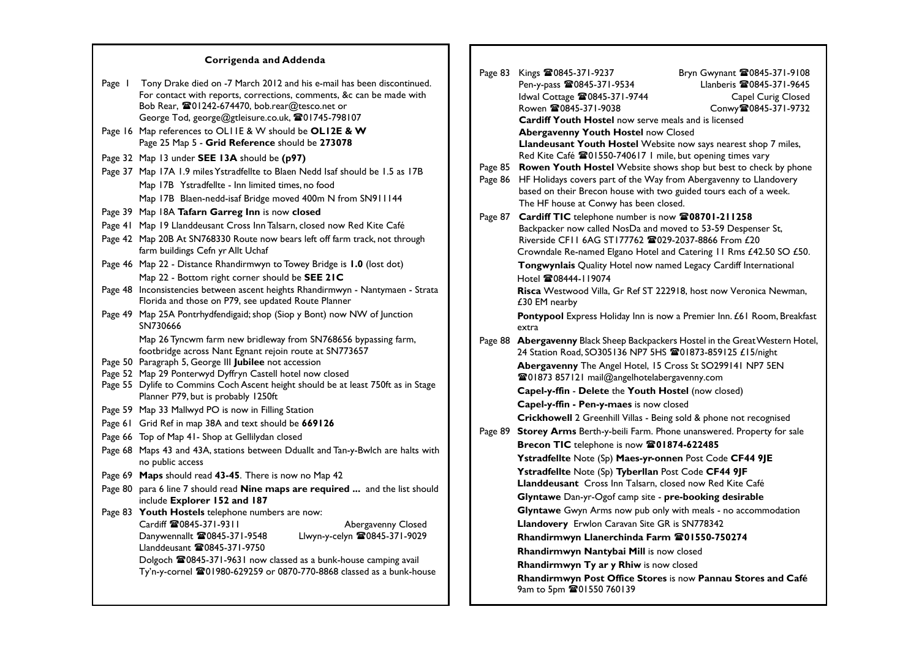## **Corrigenda and Addenda**

| Page I                                                                      | Tony Drake died on -7 March 2012 and his e-mail has been discontinued.<br>For contact with reports, corrections, comments, &c can be made with<br>Bob Rear, 201242-674470, bob.rear@tesco.net or<br>George Tod, george@gtleisure.co.uk, 201745-798107 |  |  |
|-----------------------------------------------------------------------------|-------------------------------------------------------------------------------------------------------------------------------------------------------------------------------------------------------------------------------------------------------|--|--|
|                                                                             | Page 16 Map references to OLIIE & W should be OLI2E & W<br>Page 25 Map 5 - Grid Reference should be 273078                                                                                                                                            |  |  |
|                                                                             | Page 32 Map 13 under <b>SEE 13A</b> should be (p97)                                                                                                                                                                                                   |  |  |
|                                                                             | Page 37 Map 17A 1.9 miles Ystradfellte to Blaen Nedd Isaf should be 1.5 as 17B                                                                                                                                                                        |  |  |
|                                                                             | Map 17B Ystradfellte - Inn limited times, no food                                                                                                                                                                                                     |  |  |
|                                                                             | Map 17B Blaen-nedd-isaf Bridge moved 400m N from SN911144                                                                                                                                                                                             |  |  |
|                                                                             | Page 39 Map 18A Tafarn Garreg Inn is now closed                                                                                                                                                                                                       |  |  |
|                                                                             | Page 41 Map 19 Llanddeusant Cross Inn Talsarn, closed now Red Kite Café                                                                                                                                                                               |  |  |
|                                                                             | Page 42 Map 20B At SN768330 Route now bears left off farm track, not through<br>farm buildings Cefn yr Allt Uchaf                                                                                                                                     |  |  |
|                                                                             | Page 46 Map 22 - Distance Rhandirmwyn to Towey Bridge is 1.0 (lost dot)                                                                                                                                                                               |  |  |
|                                                                             | Map 22 - Bottom right corner should be SEE 21C                                                                                                                                                                                                        |  |  |
|                                                                             | Page 48 Inconsistencies between ascent heights Rhandirmwyn - Nantymaen - Strata<br>Florida and those on P79, see updated Route Planner                                                                                                                |  |  |
|                                                                             | Page 49 Map 25A Pontrhydfendigaid; shop (Siop y Bont) now NW of Junction<br>SN730666                                                                                                                                                                  |  |  |
|                                                                             | Map 26 Tyncwm farm new bridleway from SN768656 bypassing farm,<br>footbridge across Nant Egnant rejoin route at SN773657<br>Page 50 Paragraph 5, George III Jubilee not accession                                                                     |  |  |
|                                                                             | Page 52 Map 29 Ponterwyd Dyffryn Castell hotel now closed                                                                                                                                                                                             |  |  |
|                                                                             | Page 55 Dylife to Commins Coch Ascent height should be at least 750ft as in Stage<br>Planner P79, but is probably 1250ft                                                                                                                              |  |  |
|                                                                             | Page 59 Map 33 Mallwyd PO is now in Filling Station                                                                                                                                                                                                   |  |  |
|                                                                             | Page 61 Grid Ref in map 38A and text should be 669126                                                                                                                                                                                                 |  |  |
|                                                                             | Page 66 Top of Map 41- Shop at Gellilydan closed                                                                                                                                                                                                      |  |  |
|                                                                             | Page 68 Maps 43 and 43A, stations between Dduallt and Tan-y-Bwlch are halts with<br>no public access                                                                                                                                                  |  |  |
|                                                                             | Page 69 Maps should read 43-45. There is now no Map 42                                                                                                                                                                                                |  |  |
|                                                                             | Page 80 para 6 line 7 should read Nine maps are required  and the list should<br>include Explorer 152 and 187                                                                                                                                         |  |  |
|                                                                             | Page 83 Youth Hostels telephone numbers are now:                                                                                                                                                                                                      |  |  |
|                                                                             | Cardiff <b>雷0845-371-9311</b><br>Abergavenny Closed                                                                                                                                                                                                   |  |  |
|                                                                             | Llwyn-y-celyn 20845-371-9029<br>Danywennallt 20845-371-9548<br>Llanddeusant <b>雷0845-371-9750</b>                                                                                                                                                     |  |  |
|                                                                             | Dolgoch <sup>2</sup> 0845-371-9631 now classed as a bunk-house camping avail                                                                                                                                                                          |  |  |
| Ty'n-y-cornel <b>雷01980-629259</b> or 0870-770-8868 classed as a bunk-house |                                                                                                                                                                                                                                                       |  |  |
|                                                                             |                                                                                                                                                                                                                                                       |  |  |

| Page 83            | Kings 280845-371-9237<br>Pen-y-pass 280845-371-9534<br>Idwal Cottage 20845-371-9744<br>Rowen 20845-371-9038                                                                                                                                          | Bryn Gwynant 20845-371-9108<br>Llanberis 20845-371-9645<br>Capel Curig Closed<br>Conwy雪0845-371-9732 |
|--------------------|------------------------------------------------------------------------------------------------------------------------------------------------------------------------------------------------------------------------------------------------------|------------------------------------------------------------------------------------------------------|
|                    | <b>Cardiff Youth Hostel</b> now serve meals and is licensed<br>Abergavenny Youth Hostel now Closed                                                                                                                                                   |                                                                                                      |
|                    | Llandeusant Youth Hostel Website now says nearest shop 7 miles,<br>Red Kite Café 201550-740617 I mile, but opening times vary                                                                                                                        |                                                                                                      |
| Page 85<br>Page 86 | Rowen Youth Hostel Website shows shop but best to check by phone<br>HF Holidays covers part of the Way from Abergavenny to Llandovery<br>based on their Brecon house with two guided tours each of a week.<br>The HF house at Conwy has been closed. |                                                                                                      |
| Page 87            | Cardiff TIC telephone number is now 208701-211258                                                                                                                                                                                                    |                                                                                                      |
|                    | Backpacker now called NosDa and moved to 53-59 Despenser St,<br>Riverside CFII 6AG ST177762 23029-2037-8866 From £20                                                                                                                                 |                                                                                                      |
|                    | Crowndale Re-named Elgano Hotel and Catering 11 Rms £42.50 SO £50.                                                                                                                                                                                   |                                                                                                      |
|                    | Tongwynlais Quality Hotel now named Legacy Cardiff International                                                                                                                                                                                     |                                                                                                      |
|                    | Hotel <b>雷08444-119074</b><br>Risca Westwood Villa, Gr Ref ST 222918, host now Veronica Newman,<br>£30 EM nearby                                                                                                                                     |                                                                                                      |
|                    | Pontypool Express Holiday Inn is now a Premier Inn. £61 Room, Breakfast                                                                                                                                                                              |                                                                                                      |
|                    | extra                                                                                                                                                                                                                                                |                                                                                                      |
| Page 88            | Abergavenny Black Sheep Backpackers Hostel in the Great Western Hotel,<br>24 Station Road, SO305136 NP7 5HS 201873-859125 £15/night                                                                                                                  |                                                                                                      |
|                    | Abergavenny The Angel Hotel, 15 Cross St SO299141 NP7 5EN<br><sup>2</sup> 801873 857121 mail@angelhotelabergavenny.com                                                                                                                               |                                                                                                      |
|                    | Capel-y-ffin - Delete the Youth Hostel (now closed)                                                                                                                                                                                                  |                                                                                                      |
|                    | Capel-y-ffin - Pen-y-maes is now closed                                                                                                                                                                                                              |                                                                                                      |
|                    | Crickhowell 2 Greenhill Villas - Being sold & phone not recognised                                                                                                                                                                                   |                                                                                                      |
|                    | Page 89 Storey Arms Berth-y-beili Farm. Phone unanswered. Property for sale                                                                                                                                                                          |                                                                                                      |
|                    | Brecon TIC telephone is now 201874-622485                                                                                                                                                                                                            |                                                                                                      |
|                    | Ystradfellte Note (Sp) Maes-yr-onnen Post Code CF44 9JE                                                                                                                                                                                              |                                                                                                      |
|                    | Ystradfellte Note (Sp) Tyberllan Post Code CF44 9JF                                                                                                                                                                                                  |                                                                                                      |
|                    | Llanddeusant Cross Inn Talsarn, closed now Red Kite Café                                                                                                                                                                                             |                                                                                                      |
|                    | Glyntawe Dan-yr-Ogof camp site - pre-booking desirable                                                                                                                                                                                               |                                                                                                      |
|                    | Glyntawe Gwyn Arms now pub only with meals - no accommodation                                                                                                                                                                                        |                                                                                                      |
|                    | Llandovery Erwlon Caravan Site GR is SN778342                                                                                                                                                                                                        |                                                                                                      |
|                    | Rhandirmwyn Llanerchinda Farm 201550-750274                                                                                                                                                                                                          |                                                                                                      |
|                    | Rhandirmwyn Nantybai Mill is now closed                                                                                                                                                                                                              |                                                                                                      |
|                    | <b>Rhandirmwyn Ty ar y Rhiw</b> is now closed                                                                                                                                                                                                        |                                                                                                      |
|                    | Rhandirmwyn Post Office Stores is now Pannau Stores and Café<br>9am to 5pm 201550 760139                                                                                                                                                             |                                                                                                      |